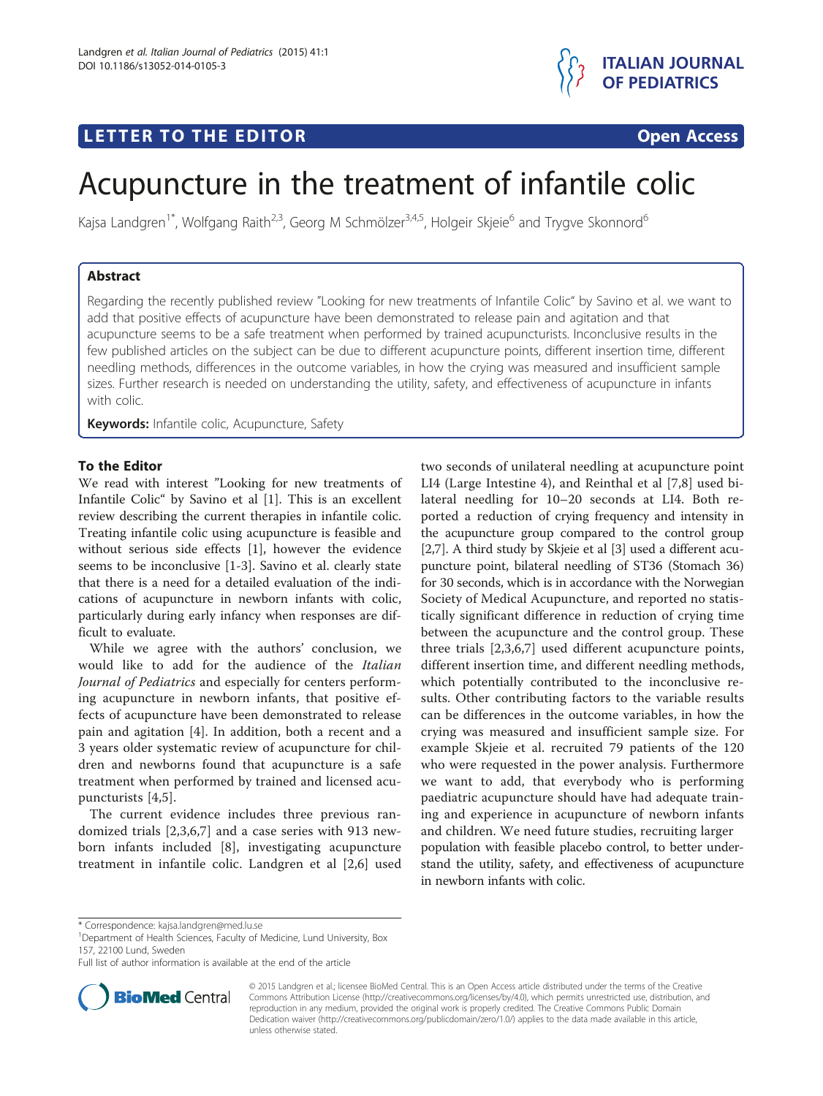



# Acupuncture in the treatment of infantile colic

Kajsa Landgren<sup>1\*</sup>, Wolfgang Raith<sup>2,3</sup>, Georg M Schmölzer<sup>3,4,5</sup>, Holgeir Skjeie<sup>6</sup> and Trygve Skonnord<sup>6</sup>

## Abstract

Regarding the recently published review "Looking for new treatments of Infantile Colic" by Savino et al. we want to add that positive effects of acupuncture have been demonstrated to release pain and agitation and that acupuncture seems to be a safe treatment when performed by trained acupuncturists. Inconclusive results in the few published articles on the subject can be due to different acupuncture points, different insertion time, different needling methods, differences in the outcome variables, in how the crying was measured and insufficient sample sizes. Further research is needed on understanding the utility, safety, and effectiveness of acupuncture in infants with colic.

Keywords: Infantile colic, Acupuncture, Safety

## To the Editor

We read with interest "Looking for new treatments of Infantile Colic" by Savino et al [[1\]](#page-1-0). This is an excellent review describing the current therapies in infantile colic. Treating infantile colic using acupuncture is feasible and without serious side effects [\[1](#page-1-0)], however the evidence seems to be inconclusive [\[1](#page-1-0)-[3](#page-1-0)]. Savino et al. clearly state that there is a need for a detailed evaluation of the indications of acupuncture in newborn infants with colic, particularly during early infancy when responses are difficult to evaluate.

While we agree with the authors' conclusion, we would like to add for the audience of the Italian Journal of Pediatrics and especially for centers performing acupuncture in newborn infants, that positive effects of acupuncture have been demonstrated to release pain and agitation [\[4](#page-1-0)]. In addition, both a recent and a 3 years older systematic review of acupuncture for children and newborns found that acupuncture is a safe treatment when performed by trained and licensed acupuncturists [[4,5](#page-1-0)].

The current evidence includes three previous randomized trials [[2,3,6,7\]](#page-1-0) and a case series with 913 newborn infants included [[8\]](#page-1-0), investigating acupuncture treatment in infantile colic. Landgren et al [\[2](#page-1-0),[6\]](#page-1-0) used

two seconds of unilateral needling at acupuncture point LI4 (Large Intestine 4), and Reinthal et al [[7,8](#page-1-0)] used bilateral needling for 10–20 seconds at LI4. Both reported a reduction of crying frequency and intensity in the acupuncture group compared to the control group [[2,7](#page-1-0)]. A third study by Skjeie et al [\[3](#page-1-0)] used a different acupuncture point, bilateral needling of ST36 (Stomach 36) for 30 seconds, which is in accordance with the Norwegian Society of Medical Acupuncture, and reported no statistically significant difference in reduction of crying time between the acupuncture and the control group. These three trials [[2,3,6,7\]](#page-1-0) used different acupuncture points, different insertion time, and different needling methods, which potentially contributed to the inconclusive results. Other contributing factors to the variable results can be differences in the outcome variables, in how the crying was measured and insufficient sample size. For example Skjeie et al. recruited 79 patients of the 120 who were requested in the power analysis. Furthermore we want to add, that everybody who is performing paediatric acupuncture should have had adequate training and experience in acupuncture of newborn infants and children. We need future studies, recruiting larger population with feasible placebo control, to better understand the utility, safety, and effectiveness of acupuncture in newborn infants with colic.

Full list of author information is available at the end of the article



© 2015 Landgren et al.; licensee BioMed Central. This is an Open Access article distributed under the terms of the Creative Commons Attribution License [\(http://creativecommons.org/licenses/by/4.0\)](http://creativecommons.org/licenses/by/4.0), which permits unrestricted use, distribution, and reproduction in any medium, provided the original work is properly credited. The Creative Commons Public Domain Dedication waiver [\(http://creativecommons.org/publicdomain/zero/1.0/](http://creativecommons.org/publicdomain/zero/1.0/)) applies to the data made available in this article, unless otherwise stated.

<sup>\*</sup> Correspondence: [kajsa.landgren@med.lu.se](mailto:kajsa.landgren@med.lu.se) <sup>1</sup>

<sup>&</sup>lt;sup>1</sup>Department of Health Sciences, Faculty of Medicine, Lund University, Box 157, 22100 Lund, Sweden